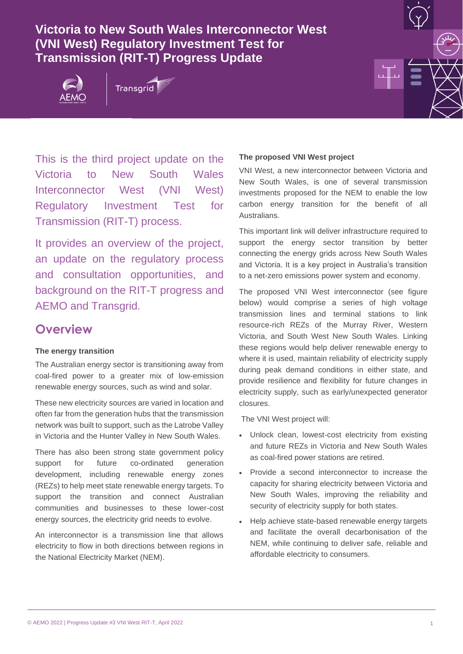## **Victoria to New South Wales Interconnector West (VNI West) Regulatory Investment Test for Transmission (RIT-T) Progress Update**







This is the third project update on the Victoria to New South Wales Interconnector West (VNI West) Regulatory Investment Test for Transmission (RIT-T) process.

It provides an overview of the project, an update on the regulatory process and consultation opportunities, and background on the RIT-T progress and AEMO and Transgrid.

## **Overview**

#### **The energy transition**

The Australian energy sector is transitioning away from coal-fired power to a greater mix of low-emission renewable energy sources, such as wind and solar.

These new electricity sources are varied in location and often far from the generation hubs that the transmission network was built to support, such as the Latrobe Valley in Victoria and the Hunter Valley in New South Wales.

There has also been strong state government policy support for future co-ordinated generation development, including renewable energy zones (REZs) to help meet state renewable energy targets. To support the transition and connect Australian communities and businesses to these lower-cost energy sources, the electricity grid needs to evolve.

An interconnector is a transmission line that allows electricity to flow in both directions between regions in the National Electricity Market (NEM).

#### **The proposed VNI West project**

VNI West, a new interconnector between Victoria and New South Wales, is one of several transmission investments proposed for the NEM to enable the low carbon energy transition for the benefit of all Australians.

This important link will deliver infrastructure required to support the energy sector transition by better connecting the energy grids across New South Wales and Victoria. It is a key project in Australia's transition to a net-zero emissions power system and economy.

The proposed VNI West interconnector (see figure below) would comprise a series of high voltage transmission lines and terminal stations to link resource-rich REZs of the Murray River, Western Victoria, and South West New South Wales. Linking these regions would help deliver renewable energy to where it is used, maintain reliability of electricity supply during peak demand conditions in either state, and provide resilience and flexibility for future changes in electricity supply, such as early/unexpected generator closures.

The VNI West project will:

- Unlock clean, lowest-cost electricity from existing and future REZs in Victoria and New South Wales as coal-fired power stations are retired.
- Provide a second interconnector to increase the capacity for sharing electricity between Victoria and New South Wales, improving the reliability and security of electricity supply for both states.
- Help achieve state-based renewable energy targets and facilitate the overall decarbonisation of the NEM, while continuing to deliver safe, reliable and affordable electricity to consumers.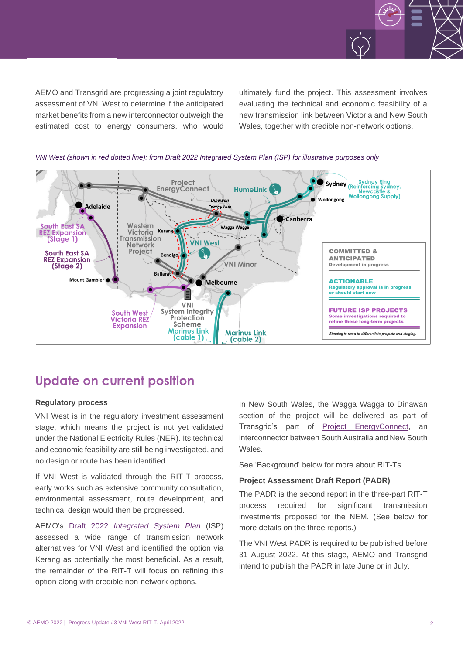

AEMO and Transgrid are progressing a joint regulatory assessment of VNI West to determine if the anticipated market benefits from a new interconnector outweigh the estimated cost to energy consumers, who would ultimately fund the project. This assessment involves evaluating the technical and economic feasibility of a new transmission link between Victoria and New South Wales, together with credible non-network options.



*VNI West (shown in red dotted line): from Draft 2022 Integrated System Plan (ISP) for illustrative purposes only* 

## **Update on current position**

#### **Regulatory process**

VNI West is in the regulatory investment assessment stage, which means the project is not yet validated under the National Electricity Rules (NER). Its technical and economic feasibility are still being investigated, and no design or route has been identified.

If VNI West is validated through the RIT-T process, early works such as extensive community consultation, environmental assessment, route development, and technical design would then be progressed.

AEMO's Draft 2022 *[Integrated System Plan](https://aemo.com.au/-/media/files/major-publications/isp/2022/draft-2022-integrated-system-plan.pdf)* (ISP) assessed a wide range of transmission network alternatives for VNI West and identified the option via Kerang as potentially the most beneficial. As a result, the remainder of the RIT-T will focus on refining this option along with credible non-network options.

In New South Wales, the Wagga Wagga to Dinawan section of the project will be delivered as part of Transgrid's part of Project [EnergyConnect,](https://www.projectenergyconnect.com.au/) an interconnector between South Australia and New South Wales.

See 'Background' below for more about RIT-Ts.

#### **Project Assessment Draft Report (PADR)**

The PADR is the second report in the three-part RIT-T process required for significant transmission investments proposed for the NEM. (See below for more details on the three reports.)

The VNI West PADR is required to be published before 31 August 2022. At this stage, AEMO and Transgrid intend to publish the PADR in late June or in July.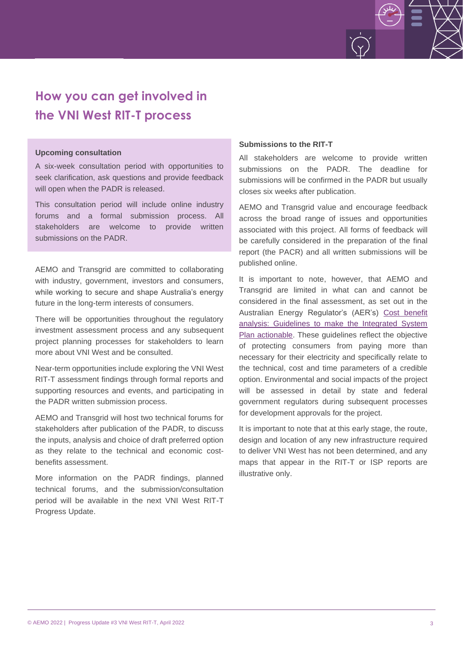

# **How you can get involved in the VNI West RIT-T process**

#### **Upcoming consultation**

A six-week consultation period with opportunities to seek clarification, ask questions and provide feedback will open when the PADR is released.

This consultation period will include online industry forums and a formal submission process. All stakeholders are welcome to provide written submissions on the PADR.

AEMO and Transgrid are committed to collaborating with industry, government, investors and consumers, while working to secure and shape Australia's energy future in the long-term interests of consumers.

There will be opportunities throughout the regulatory investment assessment process and any subsequent project planning processes for stakeholders to learn more about VNI West and be consulted.

Near-term opportunities include exploring the VNI West RIT-T assessment findings through formal reports and supporting resources and events, and participating in the PADR written submission process.

AEMO and Transgrid will host two technical forums for stakeholders after publication of the PADR, to discuss the inputs, analysis and choice of draft preferred option as they relate to the technical and economic costbenefits assessment.

More information on the PADR findings, planned technical forums, and the submission/consultation period will be available in the next VNI West RIT-T Progress Update.

#### **Submissions to the RIT-T**

All stakeholders are welcome to provide written submissions on the PADR. The deadline for submissions will be confirmed in the PADR but usually closes six weeks after publication.

AEMO and Transgrid value and encourage feedback across the broad range of issues and opportunities associated with this project. All forms of feedback will be carefully considered in the preparation of the final report (the PACR) and all written submissions will be published online.

It is important to note, however, that AEMO and Transgrid are limited in what can and cannot be considered in the final assessment, as set out in the Australian Energy Regulator's (AER's) [Cost benefit](https://www.aer.gov.au/system/files/AER%20-%20Cost%20benefit%20analysis%20guidelines%20-%2025%20August%202020.pdf)  [analysis: Guidelines to make the Integrated System](https://www.aer.gov.au/system/files/AER%20-%20Cost%20benefit%20analysis%20guidelines%20-%2025%20August%202020.pdf)  [Plan actionable.](https://www.aer.gov.au/system/files/AER%20-%20Cost%20benefit%20analysis%20guidelines%20-%2025%20August%202020.pdf) These guidelines reflect the objective of protecting consumers from paying more than necessary for their electricity and specifically relate to the technical, cost and time parameters of a credible option. Environmental and social impacts of the project will be assessed in detail by state and federal government regulators during subsequent processes for development approvals for the project.

It is important to note that at this early stage, the route, design and location of any new infrastructure required to deliver VNI West has not been determined, and any maps that appear in the RIT-T or ISP reports are illustrative only.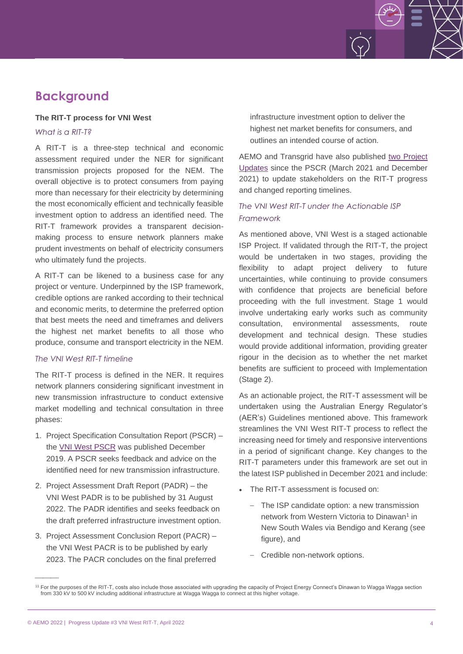## **Background**

#### **The RIT-T process for VNI West**

*What is a RIT-T?*

A RIT-T is a three-step technical and economic assessment required under the NER for significant transmission projects proposed for the NEM. The overall objective is to protect consumers from paying more than necessary for their electricity by determining the most economically efficient and technically feasible investment option to address an identified need. The RIT-T framework provides a transparent decisionmaking process to ensure network planners make prudent investments on behalf of electricity consumers who ultimately fund the projects.

A RIT-T can be likened to a business case for any project or venture. Underpinned by the ISP framework, credible options are ranked according to their technical and economic merits, to determine the preferred option that best meets the need and timeframes and delivers the highest net market benefits to all those who produce, consume and transport electricity in the NEM.

#### *The VNI West RIT-T timeline*

The RIT-T process is defined in the NER. It requires network planners considering significant investment in new transmission infrastructure to conduct extensive market modelling and technical consultation in three phases:

- 1. Project Specification Consultation Report (PSCR) the [VNI West PSCR](https://aemo.com.au/-/media/Files/Electricity/NEM/Planning_and_Forecasting/Victorian_Transmission/VNI-West-RIT-T/VNI-West_RIT-T_PSCR.pdf) was published December 2019. A PSCR seeks feedback and advice on the identified need for new transmission infrastructure.
- 2. Project Assessment Draft Report (PADR) the VNI West PADR is to be published by 31 August 2022. The PADR identifies and seeks feedback on the draft preferred infrastructure investment option.
- 3. Project Assessment Conclusion Report (PACR) the VNI West PACR is to be published by early 2023. The PACR concludes on the final preferred

infrastructure investment option to deliver the highest net market benefits for consumers, and outlines an intended course of action.

AEMO and Transgrid have also published [two Project](https://aemo.com.au/initiatives/major-programs/victoria-to-new-south-wales-interconnector-west-regulatory-investment-test-for-transmission/reports-and-project-updates)  [Updates](https://aemo.com.au/initiatives/major-programs/victoria-to-new-south-wales-interconnector-west-regulatory-investment-test-for-transmission/reports-and-project-updates) since the PSCR (March 2021 and December 2021) to update stakeholders on the RIT-T progress and changed reporting timelines.

#### *The VNI West RIT-T under the Actionable ISP Framework*

As mentioned above, VNI West is a staged actionable ISP Project. If validated through the RIT-T, the project would be undertaken in two stages, providing the flexibility to adapt project delivery to future uncertainties, while continuing to provide consumers with confidence that projects are beneficial before proceeding with the full investment. Stage 1 would involve undertaking early works such as community consultation, environmental assessments, route development and technical design. These studies would provide additional information, providing greater rigour in the decision as to whether the net market benefits are sufficient to proceed with Implementation (Stage 2).

As an actionable project, the RIT-T assessment will be undertaken using the Australian Energy Regulator's (AER's) Guidelines mentioned above. This framework streamlines the VNI West RIT-T process to reflect the increasing need for timely and responsive interventions in a period of significant change. Key changes to the RIT-T parameters under this framework are set out in the latest ISP published in December 2021 and include:

- The RIT-T assessment is focused on:
	- The ISP candidate option: a new transmission network from Western Victoria to Dinawan<sup>1</sup> in New South Wales via Bendigo and Kerang (see figure), and
	- Credible non-network options.

 $\overline{\phantom{a}}$ 

<sup>&</sup>lt;sup>11</sup> For the purposes of the RIT-T, costs also include those associated with upgrading the capacity of Project Energy Connect's Dinawan to Wagga Wagga section from 330 kV to 500 kV including additional infrastructure at Wagga Wagga to connect at this higher voltage.